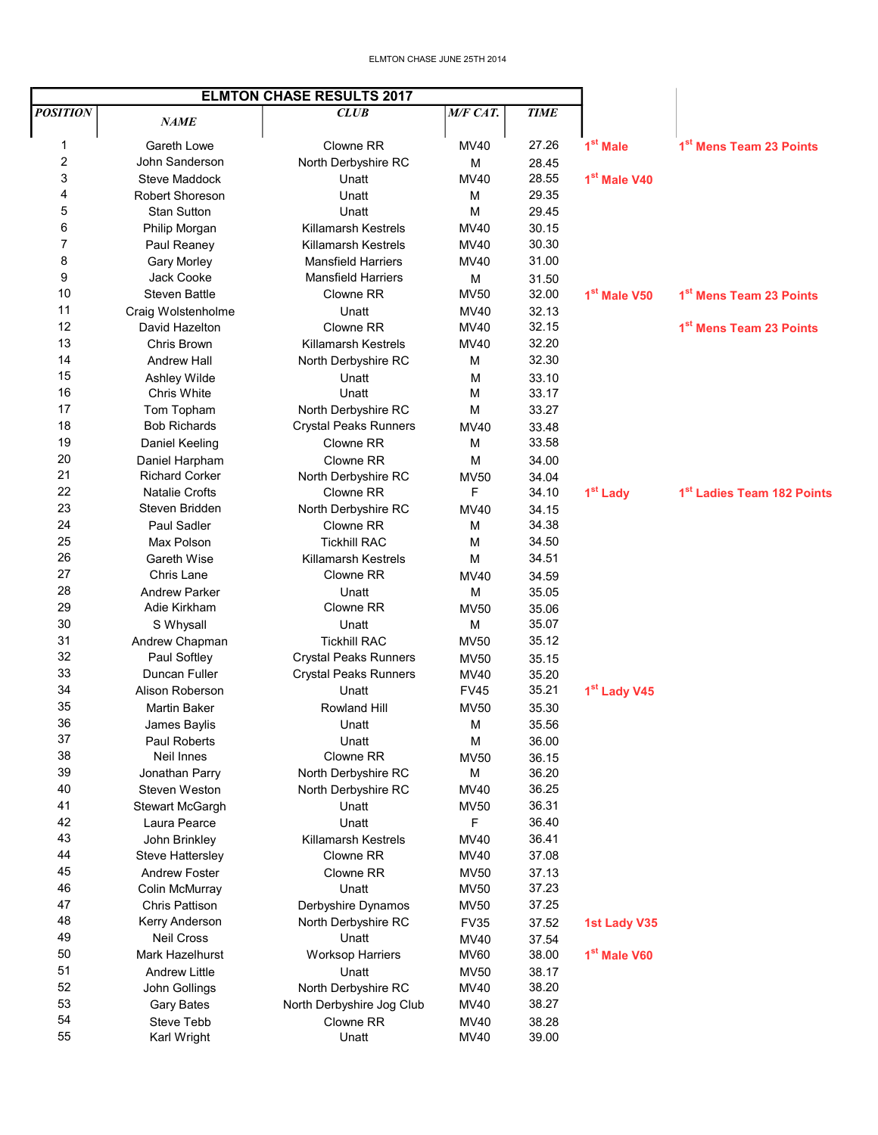| <b>ELMTON CHASE RESULTS 2017</b> |                         |                              |                     |                |                          |                                        |
|----------------------------------|-------------------------|------------------------------|---------------------|----------------|--------------------------|----------------------------------------|
| <b>POSITION</b>                  | <i>NAME</i>             | CLUB                         | M/F CAT.            | <b>TIME</b>    |                          |                                        |
|                                  |                         |                              |                     |                |                          |                                        |
| 1                                | Gareth Lowe             | Clowne RR                    | MV40                | 27.26          | 1 <sup>st</sup> Male     | 1 <sup>st</sup> Mens Team 23 Points    |
| 2                                | John Sanderson          | North Derbyshire RC          | M                   | 28.45          |                          |                                        |
| 3                                | <b>Steve Maddock</b>    | Unatt                        | MV40                | 28.55          | 1 <sup>st</sup> Male V40 |                                        |
| 4                                | <b>Robert Shoreson</b>  | Unatt                        | M                   | 29.35          |                          |                                        |
| 5                                | <b>Stan Sutton</b>      | Unatt                        | M                   | 29.45          |                          |                                        |
| 6                                | Philip Morgan           | <b>Killamarsh Kestrels</b>   | MV40                | 30.15          |                          |                                        |
| 7                                | Paul Reaney             | Killamarsh Kestrels          | MV40                | 30.30          |                          |                                        |
| 8                                | <b>Gary Morley</b>      | <b>Mansfield Harriers</b>    | MV40                | 31.00          |                          |                                        |
| 9                                | <b>Jack Cooke</b>       | <b>Mansfield Harriers</b>    | M                   | 31.50          |                          |                                        |
| 10                               | <b>Steven Battle</b>    | Clowne RR                    | <b>MV50</b>         | 32.00          | 1 <sup>st</sup> Male V50 | 1 <sup>st</sup> Mens Team 23 Points    |
| 11                               | Craig Wolstenholme      | Unatt                        | <b>MV40</b>         | 32.13          |                          |                                        |
| 12                               | David Hazelton          | Clowne RR                    | MV40                | 32.15          |                          | 1 <sup>st</sup> Mens Team 23 Points    |
| 13                               | Chris Brown             | <b>Killamarsh Kestrels</b>   | MV40                | 32.20          |                          |                                        |
| 14                               | <b>Andrew Hall</b>      | North Derbyshire RC          | M                   | 32.30          |                          |                                        |
| 15                               | Ashley Wilde            | Unatt                        | м                   | 33.10          |                          |                                        |
| 16                               | Chris White             | Unatt                        | M                   | 33.17          |                          |                                        |
| 17                               | Tom Topham              | North Derbyshire RC          | M                   | 33.27          |                          |                                        |
| 18                               | <b>Bob Richards</b>     | <b>Crystal Peaks Runners</b> | MV40                | 33.48          |                          |                                        |
| 19                               | Daniel Keeling          | Clowne RR                    | M                   | 33.58          |                          |                                        |
| 20                               | Daniel Harpham          | Clowne RR                    | M                   | 34.00          |                          |                                        |
| 21                               | <b>Richard Corker</b>   | North Derbyshire RC          | <b>MV50</b>         | 34.04          |                          |                                        |
| 22                               | <b>Natalie Crofts</b>   | Clowne RR                    | F                   | 34.10          | 1 <sup>st</sup> Lady     | 1 <sup>st</sup> Ladies Team 182 Points |
| 23                               | Steven Bridden          | North Derbyshire RC          | <b>MV40</b>         | 34.15          |                          |                                        |
| 24                               | Paul Sadler             | Clowne RR                    | M                   | 34.38          |                          |                                        |
| 25                               | Max Polson              | <b>Tickhill RAC</b>          | М                   | 34.50          |                          |                                        |
| 26                               | Gareth Wise             | <b>Killamarsh Kestrels</b>   | М                   | 34.51          |                          |                                        |
| 27                               | Chris Lane              | Clowne RR                    | <b>MV40</b>         | 34.59          |                          |                                        |
| 28                               | <b>Andrew Parker</b>    | Unatt                        | M                   | 35.05          |                          |                                        |
| 29                               | Adie Kirkham            | Clowne RR                    | <b>MV50</b>         | 35.06          |                          |                                        |
| 30                               | S Whysall               | Unatt                        | M                   | 35.07          |                          |                                        |
| 31                               | Andrew Chapman          | <b>Tickhill RAC</b>          | <b>MV50</b>         | 35.12          |                          |                                        |
| 32                               | Paul Softley            | <b>Crystal Peaks Runners</b> | <b>MV50</b>         | 35.15          |                          |                                        |
| 33                               | Duncan Fuller           | <b>Crystal Peaks Runners</b> | MV40                | 35.20          |                          |                                        |
| 34                               | Alison Roberson         | Unatt                        | <b>FV45</b>         | 35.21          | 1 <sup>st</sup> Lady V45 |                                        |
| 35                               | <b>Martin Baker</b>     | Rowland Hill                 | <b>MV50</b>         | 35.30          |                          |                                        |
| 36                               | James Baylis            | Unatt                        | M                   | 35.56          |                          |                                        |
| 37                               | <b>Paul Roberts</b>     | Unatt                        | M                   | 36.00          |                          |                                        |
| 38                               | Neil Innes              | Clowne RR                    | <b>MV50</b>         | 36.15          |                          |                                        |
| 39                               | Jonathan Parry          | North Derbyshire RC          | M                   | 36.20          |                          |                                        |
| 40                               | Steven Weston           | North Derbyshire RC          | <b>MV40</b>         | 36.25          |                          |                                        |
| 41                               | <b>Stewart McGargh</b>  | Unatt                        | <b>MV50</b>         | 36.31          |                          |                                        |
| 42                               | Laura Pearce            | Unatt                        | F                   | 36.40          |                          |                                        |
| 43                               | John Brinkley           | Killamarsh Kestrels          | <b>MV40</b>         | 36.41          |                          |                                        |
| 44                               | <b>Steve Hattersley</b> | Clowne RR                    | MV40                | 37.08          |                          |                                        |
| 45                               | <b>Andrew Foster</b>    | Clowne RR                    | <b>MV50</b>         | 37.13          |                          |                                        |
| 46                               | Colin McMurray          | Unatt                        | <b>MV50</b>         | 37.23          |                          |                                        |
| 47                               | Chris Pattison          | Derbyshire Dynamos           | <b>MV50</b>         | 37.25          |                          |                                        |
| 48                               | Kerry Anderson          | North Derbyshire RC          | <b>FV35</b>         | 37.52          | <b>1st Lady V35</b>      |                                        |
| 49                               | Neil Cross              | Unatt                        |                     |                |                          |                                        |
| 50                               | Mark Hazelhurst         |                              | MV40<br><b>MV60</b> | 37.54<br>38.00 | 1 <sup>st</sup> Male V60 |                                        |
| 51                               |                         | <b>Worksop Harriers</b>      |                     |                |                          |                                        |
| 52                               | <b>Andrew Little</b>    | Unatt                        | <b>MV50</b>         | 38.17<br>38.20 |                          |                                        |
|                                  | John Gollings           | North Derbyshire RC          | MV40                |                |                          |                                        |
| 53                               | <b>Gary Bates</b>       | North Derbyshire Jog Club    | MV40                | 38.27          |                          |                                        |
| 54                               | Steve Tebb              | Clowne RR                    | MV40                | 38.28          |                          |                                        |
| 55                               | Karl Wright             | Unatt                        | <b>MV40</b>         | 39.00          |                          |                                        |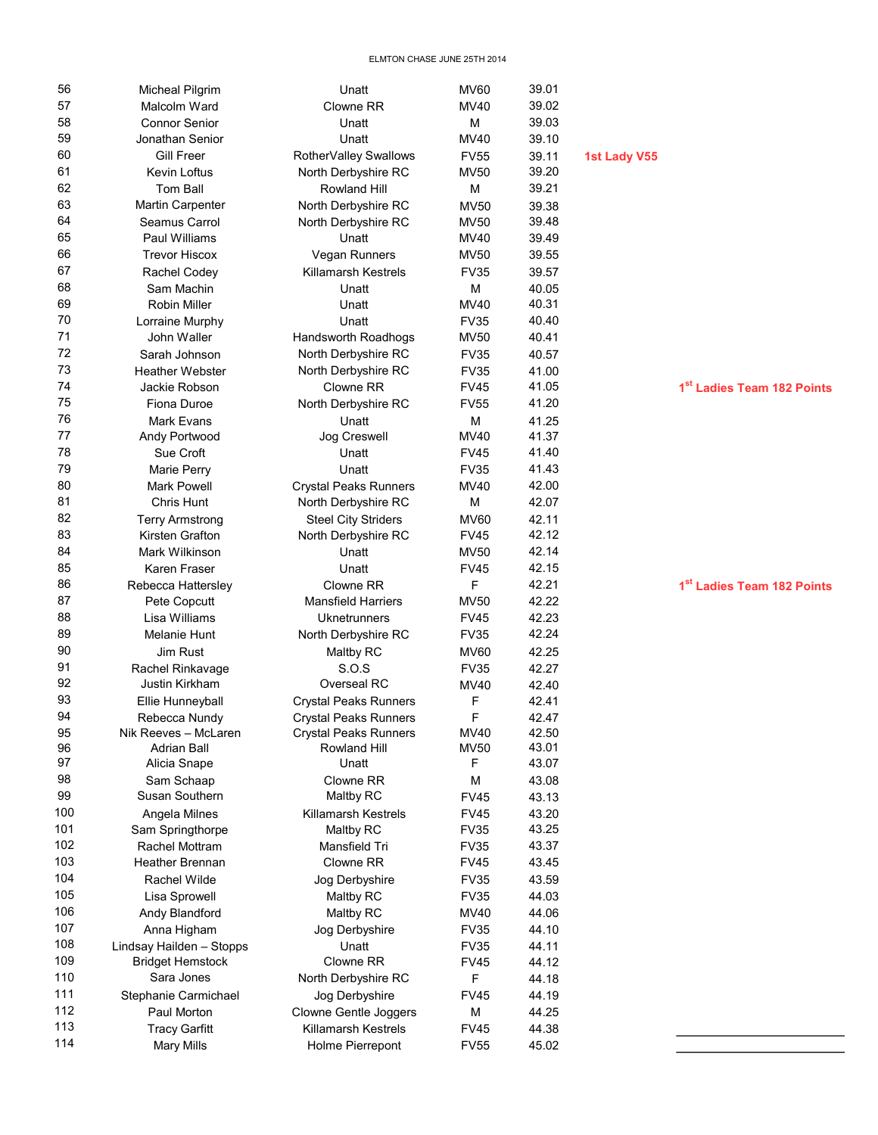| 56  | <b>Micheal Pilgrim</b>   | Unatt                        | <b>MV60</b> | 39.01 |                     |                                        |
|-----|--------------------------|------------------------------|-------------|-------|---------------------|----------------------------------------|
| 57  | Malcolm Ward             | Clowne RR                    | <b>MV40</b> | 39.02 |                     |                                        |
| 58  | <b>Connor Senior</b>     | Unatt                        | M           | 39.03 |                     |                                        |
| 59  | Jonathan Senior          | Unatt                        | MV40        | 39.10 |                     |                                        |
| 60  | <b>Gill Freer</b>        | RotherValley Swallows        | <b>FV55</b> | 39.11 | <b>1st Lady V55</b> |                                        |
| 61  | <b>Kevin Loftus</b>      | North Derbyshire RC          | <b>MV50</b> | 39.20 |                     |                                        |
| 62  | Tom Ball                 | Rowland Hill                 | M           | 39.21 |                     |                                        |
| 63  | <b>Martin Carpenter</b>  | North Derbyshire RC          | <b>MV50</b> | 39.38 |                     |                                        |
| 64  | Seamus Carrol            | North Derbyshire RC          | <b>MV50</b> | 39.48 |                     |                                        |
| 65  | Paul Williams            | Unatt                        | <b>MV40</b> | 39.49 |                     |                                        |
| 66  | <b>Trevor Hiscox</b>     | Vegan Runners                | <b>MV50</b> | 39.55 |                     |                                        |
| 67  | Rachel Codey             | <b>Killamarsh Kestrels</b>   | <b>FV35</b> | 39.57 |                     |                                        |
| 68  | Sam Machin               | Unatt                        | М           | 40.05 |                     |                                        |
| 69  | Robin Miller             | Unatt                        | MV40        | 40.31 |                     |                                        |
| 70  | Lorraine Murphy          | Unatt                        | <b>FV35</b> | 40.40 |                     |                                        |
| 71  | John Waller              | Handsworth Roadhogs          | <b>MV50</b> | 40.41 |                     |                                        |
| 72  | Sarah Johnson            | North Derbyshire RC          | <b>FV35</b> | 40.57 |                     |                                        |
| 73  | <b>Heather Webster</b>   | North Derbyshire RC          | <b>FV35</b> | 41.00 |                     |                                        |
| 74  | Jackie Robson            | Clowne RR                    | <b>FV45</b> | 41.05 |                     | 1 <sup>st</sup> Ladies Team 182 Points |
| 75  | Fiona Duroe              | North Derbyshire RC          | <b>FV55</b> | 41.20 |                     |                                        |
| 76  | Mark Evans               | Unatt                        | М           | 41.25 |                     |                                        |
| 77  | Andy Portwood            | Jog Creswell                 | MV40        | 41.37 |                     |                                        |
| 78  | Sue Croft                | Unatt                        | <b>FV45</b> | 41.40 |                     |                                        |
| 79  | Marie Perry              | Unatt                        | <b>FV35</b> | 41.43 |                     |                                        |
| 80  | <b>Mark Powell</b>       | <b>Crystal Peaks Runners</b> | MV40        | 42.00 |                     |                                        |
| 81  | Chris Hunt               | North Derbyshire RC          | м           | 42.07 |                     |                                        |
| 82  | <b>Terry Armstrong</b>   | <b>Steel City Striders</b>   | <b>MV60</b> | 42.11 |                     |                                        |
| 83  | Kirsten Grafton          | North Derbyshire RC          | <b>FV45</b> | 42.12 |                     |                                        |
| 84  | Mark Wilkinson           | Unatt                        | <b>MV50</b> | 42.14 |                     |                                        |
| 85  | Karen Fraser             | Unatt                        | <b>FV45</b> | 42.15 |                     |                                        |
| 86  | Rebecca Hattersley       | Clowne RR                    | F           | 42.21 |                     | 1st Ladies Team 182 Points             |
| 87  | Pete Copcutt             | <b>Mansfield Harriers</b>    | <b>MV50</b> | 42.22 |                     |                                        |
| 88  | Lisa Williams            | Uknetrunners                 | <b>FV45</b> | 42.23 |                     |                                        |
| 89  | Melanie Hunt             | North Derbyshire RC          | <b>FV35</b> | 42.24 |                     |                                        |
| 90  | Jim Rust                 | Maltby RC                    | <b>MV60</b> | 42.25 |                     |                                        |
| 91  | Rachel Rinkavage         | S.O.S                        | <b>FV35</b> | 42.27 |                     |                                        |
| 92  | Justin Kirkham           | Overseal RC                  | <b>MV40</b> | 42.40 |                     |                                        |
| 93  | Ellie Hunneyball         | <b>Crystal Peaks Runners</b> | F           | 42.41 |                     |                                        |
| 94  | Rebecca Nundy            | Crystal Peaks Runners        | F           | 42.47 |                     |                                        |
| 95  | Nik Reeves - McLaren     | <b>Crystal Peaks Runners</b> | <b>MV40</b> | 42.50 |                     |                                        |
| 96  | Adrian Ball              | <b>Rowland Hill</b>          | <b>MV50</b> | 43.01 |                     |                                        |
| 97  | Alicia Snape             | Unatt                        | F           | 43.07 |                     |                                        |
| 98  | Sam Schaap               | Clowne RR                    | М           | 43.08 |                     |                                        |
| 99  | Susan Southern           | Maltby RC                    | <b>FV45</b> | 43.13 |                     |                                        |
| 100 | Angela Milnes            | <b>Killamarsh Kestrels</b>   | <b>FV45</b> | 43.20 |                     |                                        |
| 101 | Sam Springthorpe         | Maltby RC                    | <b>FV35</b> | 43.25 |                     |                                        |
| 102 | Rachel Mottram           | Mansfield Tri                | <b>FV35</b> | 43.37 |                     |                                        |
| 103 | <b>Heather Brennan</b>   | Clowne RR                    | <b>FV45</b> | 43.45 |                     |                                        |
| 104 | Rachel Wilde             | Jog Derbyshire               | <b>FV35</b> | 43.59 |                     |                                        |
| 105 | Lisa Sprowell            | Maltby RC                    | <b>FV35</b> | 44.03 |                     |                                        |
| 106 | Andy Blandford           | Maltby RC                    | MV40        | 44.06 |                     |                                        |
| 107 | Anna Higham              | Jog Derbyshire               | <b>FV35</b> | 44.10 |                     |                                        |
| 108 | Lindsay Hailden - Stopps | Unatt                        | <b>FV35</b> | 44.11 |                     |                                        |
| 109 | <b>Bridget Hemstock</b>  | Clowne RR                    | <b>FV45</b> | 44.12 |                     |                                        |
| 110 | Sara Jones               | North Derbyshire RC          | F           | 44.18 |                     |                                        |
| 111 | Stephanie Carmichael     | Jog Derbyshire               | <b>FV45</b> | 44.19 |                     |                                        |
| 112 | Paul Morton              | Clowne Gentle Joggers        | М           | 44.25 |                     |                                        |
| 113 | <b>Tracy Garfitt</b>     | <b>Killamarsh Kestrels</b>   | <b>FV45</b> | 44.38 |                     |                                        |
| 114 | <b>Mary Mills</b>        | Holme Pierrepont             | <b>FV55</b> | 45.02 |                     |                                        |
|     |                          |                              |             |       |                     |                                        |